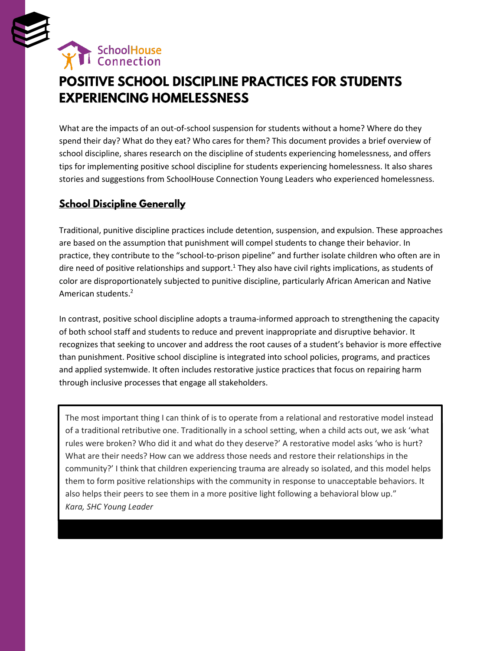

# **POSITIVE SCHOOL DISCIPLINE PRACTICES FOR STUDENTS EXPERIENCING HOMELESSNESS**

What are the impacts of an out-of-school suspension for students without a home? Where do they spend their day? What do they eat? Who cares for them? This document provides a brief overview of school discipline, shares research on the discipline of students experiencing homelessness, and offers tips for implementing positive school discipline for students experiencing homelessness. It also shares stories and suggestions from SchoolHouse Connection Young Leaders who experienced homelessness.

# **School Discipline Generally**

Traditional, punitive discipline practices include detention, suspension, and expulsion. These approaches are based on the assumption that punishment will compel students to change their behavior. In practice, they contribute to the "school-to-prison pipeline" and further isolate children who often are in dire need of positive relationships and support.<sup>1</sup> They also have civil rights implications, as students of color are disproportionately subjected to punitive discipline, particularly African American and Native American students.<sup>2</sup>

In contrast, positive school discipline adopts a trauma-informed approach to strengthening the capacity of both school staff and students to reduce and prevent inappropriate and disruptive behavior. It recognizes that seeking to uncover and address the root causes of a student's behavior is more effective than punishment. Positive school discipline is integrated into school policies, programs, and practices and applied systemwide. It often includes restorative justice practices that focus on repairing harm through inclusive processes that engage all stakeholders.

The most important thing I can think of is to operate from a relational and restorative model instead of a traditional retributive one. Traditionally in a school setting, when a child acts out, we ask 'what rules were broken? Who did it and what do they deserve?' A restorative model asks 'who is hurt? What are their needs? How can we address those needs and restore their relationships in the community?' I think that children experiencing trauma are already so isolated, and this model helps them to form positive relationships with the community in response to unacceptable behaviors. It also helps their peers to see them in a more positive light following a behavioral blow up." *Kara, SHC Young Leader*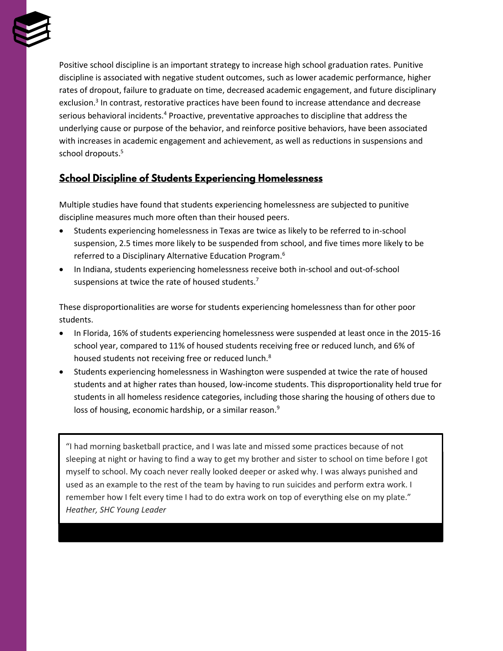

Positive school discipline is an important strategy to increase high school graduation rates. Punitive discipline is associated with negative student outcomes, such as lower academic performance, higher rates of dropout, failure to graduate on time, decreased academic engagement, and future disciplinary exclusion.<sup>3</sup> In contrast, restorative practices have been found to increase attendance and decrease serious behavioral incidents.<sup>4</sup> Proactive, preventative approaches to discipline that address the underlying cause or purpose of the behavior, and reinforce positive behaviors, have been associated with increases in academic engagement and achievement, as well as reductions in suspensions and school dropouts.<sup>5</sup>

### **School Discipline of Students Experiencing Homelessness**

Multiple studies have found that students experiencing homelessness are subjected to punitive discipline measures much more often than their housed peers.

- Students experiencing homelessness in Texas are twice as likely to be referred to in-school suspension, 2.5 times more likely to be suspended from school, and five times more likely to be referred to a Disciplinary Alternative Education Program.<sup>6</sup>
- In Indiana, students experiencing homelessness receive both in-school and out-of-school suspensions at twice the rate of housed students.<sup>7</sup>

These disproportionalities are worse for students experiencing homelessness than for other poor students.

- In Florida, 16% of students experiencing homelessness were suspended at least once in the 2015-16 school year, compared to 11% of housed students receiving free or reduced lunch, and 6% of housed students not receiving free or reduced lunch.<sup>8</sup>
- Students experiencing homelessness in Washington were suspended at twice the rate of housed students and at higher rates than housed, low-income students. This disproportionality held true for students in all homeless residence categories, including those sharing the housing of others due to loss of housing, economic hardship, or a similar reason.<sup>9</sup>

"I had morning basketball practice, and I was late and missed some practices because of not sleeping at night or having to find a way to get my brother and sister to school on time before I got myself to school. My coach never really looked deeper or asked why. I was always punished and used as an example to the rest of the team by having to run suicides and perform extra work. I remember how I felt every time I had to do extra work on top of everything else on my plate." *Heather, SHC Young Leader*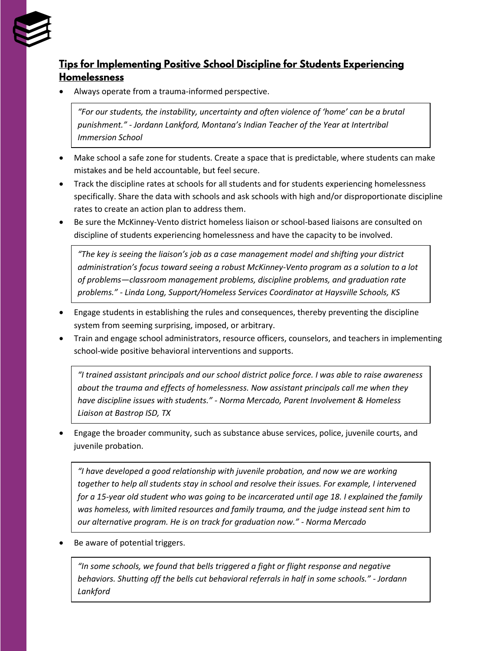

# Tips for Implementing Positive School Discipline for Students Experiencing **Homelessness**

• Always operate from a trauma-informed perspective.

*"For our students, the instability, uncertainty and often violence of 'home' can be a brutal punishment." - Jordann Lankford, Montana's Indian Teacher of the Year at Intertribal Immersion School*

- Make school a safe zone for students. Create a space that is predictable, where students can make mistakes and be held accountable, but feel secure.
- Track the discipline rates at schools for all students and for students experiencing homelessness specifically. Share the data with schools and ask schools with high and/or disproportionate discipline rates to create an action plan to address them.
- Be sure the McKinney-Vento district homeless liaison or school-based liaisons are consulted on discipline of students experiencing homelessness and have the capacity to be involved.

*"The key is seeing the liaison's job as a case management model and shifting your district administration's focus toward seeing a robust McKinney-Vento program as a solution to a lot of problems—classroom management problems, discipline problems, and graduation rate problems." - Linda Long, Support/Homeless Services Coordinator at Haysville Schools, KS*

- Engage students in establishing the rules and consequences, thereby preventing the discipline system from seeming surprising, imposed, or arbitrary.
- Train and engage school administrators, resource officers, counselors, and teachers in implementing school-wide positive behavioral interventions and supports.

*"I trained assistant principals and our school district police force. I was able to raise awareness about the trauma and effects of homelessness. Now assistant principals call me when they have discipline issues with students." - Norma Mercado, Parent Involvement & Homeless Liaison at Bastrop ISD, TX*

• Engage the broader community, such as substance abuse services, police, juvenile courts, and juvenile probation.

*"I have developed a good relationship with juvenile probation, and now we are working together to help all students stay in school and resolve their issues. For example, I intervened for a 15-year old student who was going to be incarcerated until age 18. I explained the family was homeless, with limited resources and family trauma, and the judge instead sent him to our alternative program. He is on track for graduation now." - Norma Mercado*

Be aware of potential triggers.

*"In some schools, we found that bells triggered a fight or flight response and negative behaviors. Shutting off the bells cut behavioral referrals in half in some schools." - Jordann Lankford*